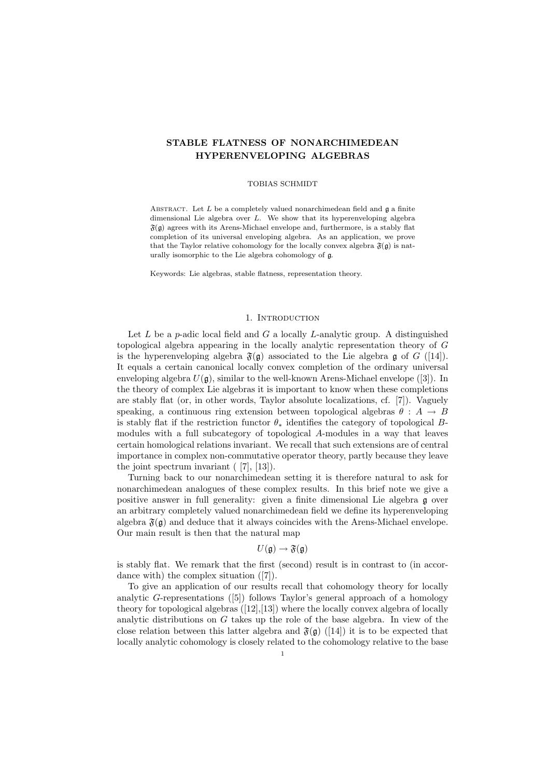# STABLE FLATNESS OF NONARCHIMEDEAN HYPERENVELOPING ALGEBRAS

#### TOBIAS SCHMIDT

ABSTRACT. Let  $L$  be a completely valued nonarchimedean field and  $\mathfrak g$  a finite dimensional Lie algebra over  $L$ . We show that its hyperenveloping algebra  $\mathfrak{F}(\mathfrak{g})$  agrees with its Arens-Michael envelope and, furthermore, is a stably flat completion of its universal enveloping algebra. As an application, we prove that the Taylor relative cohomology for the locally convex algebra  $\mathfrak{F}(\mathfrak{g})$  is naturally isomorphic to the Lie algebra cohomology of g.

Keywords: Lie algebras, stable flatness, representation theory.

### 1. INTRODUCTION

Let  $L$  be a p-adic local field and  $G$  a locally  $L$ -analytic group. A distinguished topological algebra appearing in the locally analytic representation theory of G is the hyperenveloping algebra  $\mathfrak{F}(\mathfrak{g})$  associated to the Lie algebra  $\mathfrak{g}$  of  $G$  ([14]). It equals a certain canonical locally convex completion of the ordinary universal enveloping algebra  $U(\mathfrak{g})$ , similar to the well-known Arens-Michael envelope ([3]). In the theory of complex Lie algebras it is important to know when these completions are stably flat (or, in other words, Taylor absolute localizations, cf. [7]). Vaguely speaking, a continuous ring extension between topological algebras  $\theta : A \rightarrow B$ is stably flat if the restriction functor  $\theta_*$  identifies the category of topological Bmodules with a full subcategory of topological A-modules in a way that leaves certain homological relations invariant. We recall that such extensions are of central importance in complex non-commutative operator theory, partly because they leave the joint spectrum invariant ( [7], [13]).

Turning back to our nonarchimedean setting it is therefore natural to ask for nonarchimedean analogues of these complex results. In this brief note we give a positive answer in full generality: given a finite dimensional Lie algebra g over an arbitrary completely valued nonarchimedean field we define its hyperenveloping algebra  $\mathfrak{F}(\mathfrak{g})$  and deduce that it always coincides with the Arens-Michael envelope. Our main result is then that the natural map

$$
U(\mathfrak{g}) \to \mathfrak{F}(\mathfrak{g})
$$

is stably flat. We remark that the first (second) result is in contrast to (in accordance with) the complex situation ([7]).

To give an application of our results recall that cohomology theory for locally analytic G-representations ([5]) follows Taylor's general approach of a homology theory for topological algebras  $([12],[13])$  where the locally convex algebra of locally analytic distributions on  $G$  takes up the role of the base algebra. In view of the close relation between this latter algebra and  $\mathfrak{F}(\mathfrak{g})$  ([14]) it is to be expected that locally analytic cohomology is closely related to the cohomology relative to the base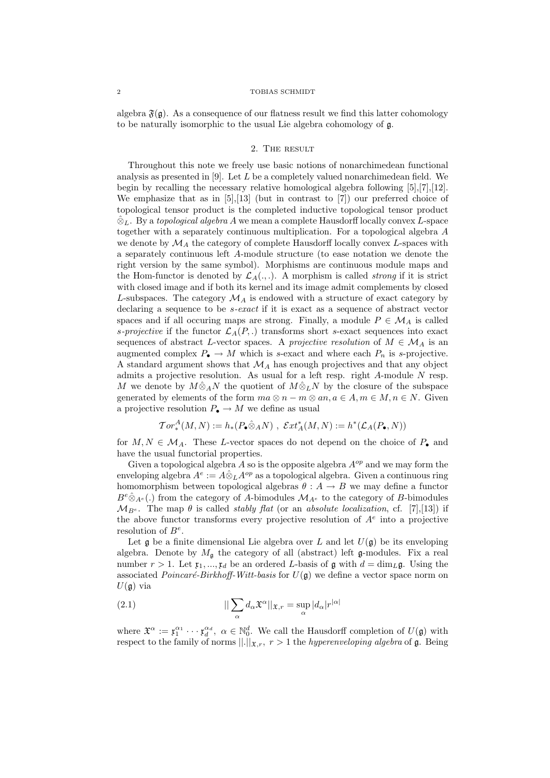algebra  $\mathfrak{F}(\mathfrak{g})$ . As a consequence of our flatness result we find this latter cohomology to be naturally isomorphic to the usual Lie algebra cohomology of g.

# 2. The result

Throughout this note we freely use basic notions of nonarchimedean functional analysis as presented in  $[9]$ . Let  $L$  be a completely valued nonarchimedean field. We begin by recalling the necessary relative homological algebra following [5],[7],[12]. We emphasize that as in  $[5],[13]$  (but in contrast to  $[7]$ ) our preferred choice of topological tensor product is the completed inductive topological tensor product  $\hat{\otimes}_L$ . By a topological algebra A we mean a complete Hausdorff locally convex L-space together with a separately continuous multiplication. For a topological algebra A we denote by  $\mathcal{M}_A$  the category of complete Hausdorff locally convex L-spaces with a separately continuous left A-module structure (to ease notation we denote the right version by the same symbol). Morphisms are continuous module maps and the Hom-functor is denoted by  $\mathcal{L}_A(.,.)$ . A morphism is called *strong* if it is strict with closed image and if both its kernel and its image admit complements by closed L-subspaces. The category  $\mathcal{M}_A$  is endowed with a structure of exact category by declaring a sequence to be *s-exact* if it is exact as a sequence of abstract vector spaces and if all occuring maps are strong. Finally, a module  $P \in \mathcal{M}_A$  is called s-projective if the functor  $\mathcal{L}_A(P,.)$  transforms short s-exact sequences into exact sequences of abstract L-vector spaces. A projective resolution of  $M \in \mathcal{M}_A$  is an augmented complex  $P_{\bullet} \to M$  which is s-exact and where each  $P_n$  is s-projective. A standard argument shows that  $\mathcal{M}_A$  has enough projectives and that any object admits a projective resolution. As usual for a left resp. right A-module N resp. M we denote by  $M\hat{\otimes}_A N$  the quotient of  $M\hat{\otimes}_L N$  by the closure of the subspace generated by elements of the form  $ma \otimes n - m \otimes an, a \in A, m \in M, n \in N$ . Given a projective resolution  $P_{\bullet} \to M$  we define as usual

$$
\operatorname{Tor}_*^A(M,N):=h_*(P_\bullet\hat\otimes_A N)\,\,,\,\,\operatorname{\mathcal{E}\mathit{xt}}_A^*(M,N):=h^*(\mathcal L_A(P_\bullet,N))
$$

for  $M, N \in \mathcal{M}_A$ . These L-vector spaces do not depend on the choice of  $P_{\bullet}$  and have the usual functorial properties.

Given a topological algebra A so is the opposite algebra  $A^{op}$  and we may form the enveloping algebra  $A^e := A \hat{\otimes}_L A^{op}$  as a topological algebra. Given a continuous ring homomorphism between topological algebras  $\theta : A \rightarrow B$  we may define a functor  $B^e \hat{\otimes}_{A^e}$ .) from the category of A-bimodules  $\mathcal{M}_{A^e}$  to the category of B-bimodules  $\mathcal{M}_{B^e}$ . The map  $\theta$  is called *stably flat* (or an *absolute localization*, cf. [7],[13]) if the above functor transforms every projective resolution of  $A<sup>e</sup>$  into a projective resolution of  $B^e$ .

Let  $\alpha$  be a finite dimensional Lie algebra over L and let  $U(\alpha)$  be its enveloping algebra. Denote by  $M_{\mathfrak{g}}$  the category of all (abstract) left g-modules. Fix a real number  $r > 1$ . Let  $x_1, ..., x_d$  be an ordered L-basis of g with  $d = \dim_L g$ . Using the associated *Poincaré-Birkhoff-Witt-basis* for  $U(\mathfrak{g})$  we define a vector space norm on  $U(\mathfrak{g})$  via

(2.1) 
$$
||\sum_{\alpha} d_{\alpha} \mathfrak{X}^{\alpha}||_{\mathfrak{X},r} = \sup_{\alpha} |d_{\alpha}|r^{|\alpha|}
$$

where  $\mathfrak{X}^{\alpha} := \mathfrak{x}_1^{\alpha_1} \cdots \mathfrak{x}_d^{\alpha_d}$ ,  $\alpha \in \mathbb{N}_0^d$ . We call the Hausdorff completion of  $U(\mathfrak{g})$  with respect to the family of norms  $||.||_{\mathfrak{X},r}$ ,  $r > 1$  the *hyperenveloping algebra* of  $\mathfrak{g}$ . Being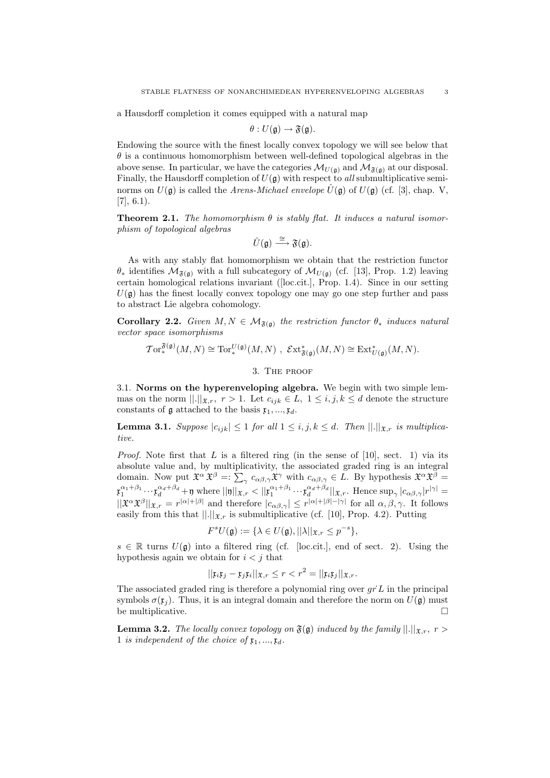a Hausdorff completion it comes equipped with a natural map

$$
\theta: U(\mathfrak{g}) \to \mathfrak{F}(\mathfrak{g}).
$$

Endowing the source with the finest locally convex topology we will see below that  $\theta$  is a continuous homomorphism between well-defined topological algebras in the above sense. In particular, we have the categories  $\mathcal{M}_{U(\mathfrak{g})}$  and  $\mathcal{M}_{\mathfrak{F}(\mathfrak{g})}$  at our disposal. Finally, the Hausdorff completion of  $U(\mathfrak{g})$  with respect to all submultiplicative seminorms on  $U(\mathfrak{g})$  is called the Arens-Michael envelope  $\hat{U}(\mathfrak{g})$  of  $U(\mathfrak{g})$  (cf. [3], chap. V,  $[7], 6.1$ .

**Theorem 2.1.** The homomorphism  $\theta$  is stably flat. It induces a natural isomorphism of topological algebras

$$
\hat{U}(\mathfrak{g}) \stackrel{\cong}{\longrightarrow} \mathfrak{F}(\mathfrak{g}).
$$

As with any stably flat homomorphism we obtain that the restriction functor  $θ_*$  identifies  $M_{\mathfrak{F}(\mathfrak{g})}$  with a full subcategory of  $M_{U(\mathfrak{g})}$  (cf. [13], Prop. 1.2) leaving certain homological relations invariant ([loc.cit.], Prop. 1.4). Since in our setting  $U(\mathfrak{g})$  has the finest locally convex topology one may go one step further and pass to abstract Lie algebra cohomology.

**Corollary 2.2.** Given  $M, N \in \mathcal{M}_{\mathfrak{F}(\mathfrak{g})}$  the restriction functor  $\theta_*$  induces natural vector space isomorphisms

$$
\operatorname{Tor}_*^{\mathfrak{F}(\mathfrak{g})}(M,N) \cong \operatorname{Tor}_*^{U(\mathfrak{g})}(M,N) \,\, , \,\, \mathcal{E}\mathrm{xt}_{\mathfrak{F}(\mathfrak{g})}^*(M,N) \cong \operatorname{Ext}_{U(\mathfrak{g})}^*(M,N).
$$

3. The proof

3.1. Norms on the hyperenveloping algebra. We begin with two simple lemmas on the norm  $||.||_{\mathfrak{X},r}$ ,  $r > 1$ . Let  $c_{ijk} \in L$ ,  $1 \leq i, j, k \leq d$  denote the structure constants of  $\mathfrak g$  attached to the basis  $x_1, ..., x_d$ .

**Lemma 3.1.** Suppose  $|c_{ijk}| \leq 1$  for all  $1 \leq i, j, k \leq d$ . Then  $||.||_{\mathfrak{X},r}$  is multiplicative.

*Proof.* Note first that L is a filtered ring (in the sense of [10], sect. 1) via its absolute value and, by multiplicativity, the associated graded ring is an integral domain. Now put  $\mathfrak{X}^{\alpha} \mathfrak{X}^{\beta} =: \sum_{\gamma} c_{\alpha\beta,\gamma} \mathfrak{X}^{\gamma}$  with  $c_{\alpha\beta,\gamma} \in L$ . By hypothesis  $\mathfrak{X}^{\alpha} \mathfrak{X}^{\beta} =$  $\mathfrak{x}_1^{\alpha_1+\beta_1}\cdots\mathfrak{x}_d^{\alpha_d+\beta_d} + \mathfrak{y} \text{ where } ||\mathfrak{y}||_{\mathfrak{X},r} < ||\mathfrak{x}_1^{\alpha_1+\beta_1}\cdots\mathfrak{x}_d^{\alpha_d+\beta_d}||_{\mathfrak{X},r}. \text{ Hence } \sup_{\gamma} |c_{\alpha\beta,\gamma}|r^{|\gamma|} =$  $||\mathfrak{X}^{\alpha}\mathfrak{X}^{\beta}||_{\mathfrak{X},r}=r^{|\alpha|+|\beta|}$  and therefore  $|c_{\alpha\beta,\gamma}|\leq r^{|\alpha|+|\beta|-|\gamma|}$  for all  $\alpha,\beta,\gamma$ . It follows easily from this that  $\|.\|_{\mathfrak{X},r}$  is submultiplicative (cf. [10], Prop. 4.2). Putting

$$
F^{s}U(\mathfrak{g}) := \{ \lambda \in U(\mathfrak{g}), ||\lambda||_{\mathfrak{X},r} \le p^{-s} \},
$$

 $s \in \mathbb{R}$  turns  $U(\mathfrak{g})$  into a filtered ring (cf. [loc.cit.], end of sect. 2). Using the hypothesis again we obtain for  $i < j$  that

$$
||\mathfrak{x}_i \mathfrak{x}_j - \mathfrak{x}_j \mathfrak{x}_i||_{\mathfrak{X},r} \le r < r^2 = ||\mathfrak{x}_i \mathfrak{x}_j||_{\mathfrak{X},r}.
$$

The associated graded ring is therefore a polynomial ring over  $grL$  in the principal symbols  $\sigma(\mathfrak{x}_j)$ . Thus, it is an integral domain and therefore the norm on  $U(\mathfrak{g})$  must be multiplicative.

**Lemma 3.2.** The locally convex topology on  $\mathfrak{F}(\mathfrak{g})$  induced by the family  $||.||_{\mathfrak{X},r}$ ,  $r >$ 1 is independent of the choice of  $x_1, ..., x_d$ .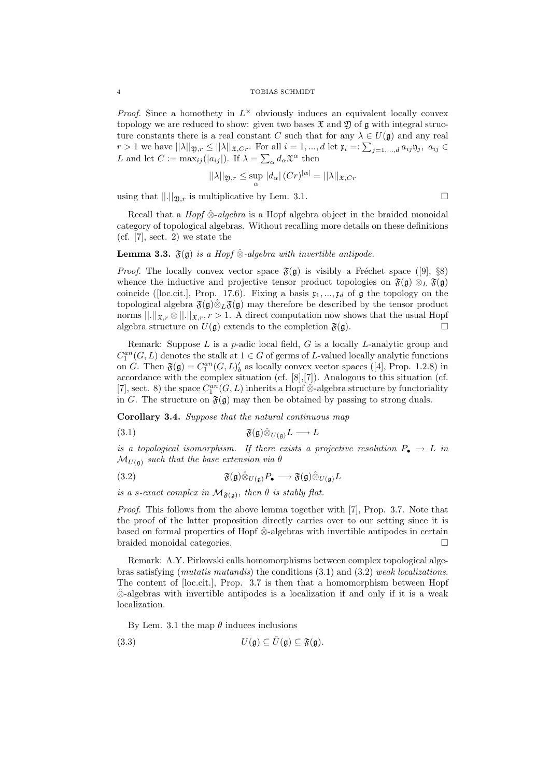*Proof.* Since a homothety in  $L^{\times}$  obviously induces an equivalent locally convex topology we are reduced to show: given two bases  $\mathfrak{X}$  and  $\mathfrak{Y}$  of  $\mathfrak{g}$  with integral structure constants there is a real constant C such that for any  $\lambda \in U(\mathfrak{g})$  and any real  $r > 1$  we have  $||\lambda||_{\mathfrak{Y},r} \leq ||\lambda||_{\mathfrak{X},Cr}$ . For all  $i = 1, ..., d$  let  $\mathfrak{x}_i =: \sum_{j=1,...,d} a_{ij} \mathfrak{y}_j$ ,  $a_{ij} \in$ L and let  $C := \max_{ij} (|a_{ij}|)$ . If  $\lambda = \sum_{\alpha} d_{\alpha} \mathfrak{X}^{\alpha}$  then

$$
||\lambda||_{\mathfrak{Y},r} \leq \sup_{\alpha} |d_{\alpha}| (Cr)^{|\alpha|} = ||\lambda||_{\mathfrak{X},Cr}
$$

using that  $\|.\|_{\mathfrak{Y},r}$  is multiplicative by Lem. 3.1.

$$
\qquad \qquad \Box
$$

Recall that a *Hopf*  $\hat{\otimes}$ -*algebra* is a Hopf algebra object in the braided monoidal category of topological algebras. Without recalling more details on these definitions (cf. [7], sect. 2) we state the

## **Lemma 3.3.**  $\mathfrak{F}(\mathfrak{g})$  is a Hopf  $\hat{\otimes}$ -algebra with invertible antipode.

*Proof.* The locally convex vector space  $\mathfrak{F}(\mathfrak{g})$  is visibly a Fréchet space ([9], §8) whence the inductive and projective tensor product topologies on  $\mathfrak{F}(\mathfrak{g}) \otimes_L \mathfrak{F}(\mathfrak{g})$ coincide ([loc.cit.], Prop. 17.6). Fixing a basis  $\mathfrak{x}_1, \ldots, \mathfrak{x}_d$  of  $\mathfrak{g}$  the topology on the topological algebra  $\mathfrak{F}(\mathfrak{g})\hat{\otimes}_L\mathfrak{F}(\mathfrak{g})$  may therefore be described by the tensor product norms  $||.||_{\mathfrak{X},r} \otimes ||.||_{\mathfrak{X},r}$ ,  $r > 1$ . A direct computation now shows that the usual Hopf algebra structure on  $U(\mathfrak{g})$  extends to the completion  $\mathfrak{F}(\mathfrak{g})$ .

Remark: Suppose  $L$  is a  $p$ -adic local field,  $G$  is a locally  $L$ -analytic group and  $C^{an}_1(G, L)$  denotes the stalk at  $1 \in G$  of germs of L-valued locally analytic functions on G. Then  $\mathfrak{F}(\mathfrak{g}) = C_1^{an}(G, L)'_b$  as locally convex vector spaces ([4], Prop. 1.2.8) in accordance with the complex situation (cf. [8],[7]). Analogous to this situation (cf. [7], sect. 8) the space  $C_1^{an}(G, L)$  inherits a Hopf  $\hat{\otimes}$ -algebra structure by functoriality in G. The structure on  $\mathfrak{F}(\mathfrak{g})$  may then be obtained by passing to strong duals.

Corollary 3.4. Suppose that the natural continuous map

(3.1) 
$$
\mathfrak{F}(\mathfrak{g}) \hat{\otimes}_{U(\mathfrak{g})} L \longrightarrow L
$$

is a topological isomorphism. If there exists a projective resolution  $P_{\bullet} \to L$  in  $\mathcal{M}_{U(\mathfrak{a})}$  such that the base extension via  $\theta$ 

(3.2) 
$$
\mathfrak{F}(\mathfrak{g}) \hat{\otimes}_{U(\mathfrak{g})} P_{\bullet} \longrightarrow \mathfrak{F}(\mathfrak{g}) \hat{\otimes}_{U(\mathfrak{g})} L
$$

is a s-exact complex in  $\mathcal{M}_{\mathfrak{F}(\mathfrak{g})}$ , then  $\theta$  is stably flat.

Proof. This follows from the above lemma together with [7], Prop. 3.7. Note that the proof of the latter proposition directly carries over to our setting since it is based on formal properties of Hopf ⊗ˆ -algebras with invertible antipodes in certain braided monoidal categories.

Remark: A.Y. Pirkovski calls homomorphisms between complex topological algebras satisfying (mutatis mutandis) the conditions (3.1) and (3.2) weak localizations. The content of [loc.cit.], Prop. 3.7 is then that a homomorphism between Hopf  $\hat{\otimes}$ -algebras with invertible antipodes is a localization if and only if it is a weak localization.

By Lem. 3.1 the map  $\theta$  induces inclusions

(3.3) 
$$
U(\mathfrak{g}) \subseteq \hat{U}(\mathfrak{g}) \subseteq \mathfrak{F}(\mathfrak{g}).
$$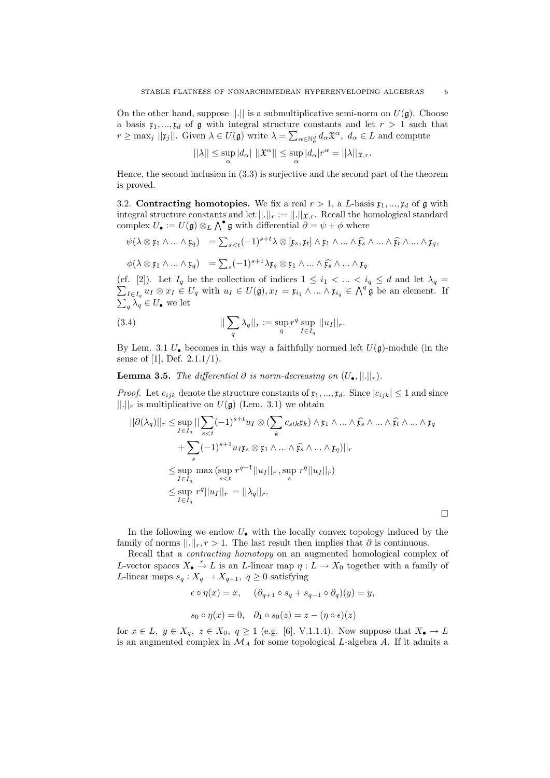On the other hand, suppose  $||.||$  is a submultiplicative semi-norm on  $U(\mathfrak{g})$ . Choose a basis  $x_1, ..., x_d$  of g with integral structure constants and let  $r > 1$  such that  $r \geq \max_j ||\mathfrak{x}_j||$ . Given  $\lambda \in U(\mathfrak{g})$  write  $\lambda = \sum_{\alpha \in \mathbb{N}_0^d} d_{\alpha} \mathfrak{X}^{\alpha}, d_{\alpha} \in L$  and compute

$$
||\lambda|| \leq \sup_{\alpha} |d_{\alpha}| ||\mathfrak{X}^{\alpha}|| \leq \sup_{\alpha} |d_{\alpha}|r^{\alpha} = ||\lambda||_{\mathfrak{X},r}.
$$

Hence, the second inclusion in (3.3) is surjective and the second part of the theorem is proved.

3.2. Contracting homotopies. We fix a real  $r > 1$ , a L-basis  $\mathfrak{x}_1, \ldots, \mathfrak{x}_d$  of g with integral structure constants and let  $||.||_r := ||.||_{\mathfrak{X},r}$ . Recall the homological standard complex  $U_{\bullet} := U(\mathfrak{g}) \otimes_L \bigwedge^{\bullet} \mathfrak{g}$  with differential  $\partial = \psi + \phi$  where

$$
\psi(\lambda \otimes \mathfrak{x}_1 \wedge \ldots \wedge \mathfrak{x}_q) = \sum_{s < t} (-1)^{s+t} \lambda \otimes [\mathfrak{x}_s, \mathfrak{x}_t] \wedge \mathfrak{x}_1 \wedge \ldots \wedge \widehat{\mathfrak{x}_s} \wedge \ldots \wedge \widehat{\mathfrak{x}_t} \wedge \ldots \wedge \mathfrak{x}_q,
$$

$$
\phi(\lambda \otimes \mathfrak{x}_1 \wedge \ldots \wedge \mathfrak{x}_q) = \sum_s (-1)^{s+1} \lambda \mathfrak{x}_s \otimes \mathfrak{x}_1 \wedge \ldots \wedge \widehat{\mathfrak{x}_s} \wedge \ldots \wedge \mathfrak{x}_q
$$

(cf. [2]). Let P  $I_q$  be the collection of indices  $1 \leq i_1 < ... < i_q \leq d$  and let  $\lambda_q =$  $I \in I_q$   $u_I \otimes x_I \in U_q$  with  $u_I \in U(\mathfrak{g}), x_I = \mathfrak{x}_{i_1} \wedge \ldots \wedge \mathfrak{x}_{i_q} \in \bigwedge^q \mathfrak{g}$  be an element. If  $\sum_{q} \lambda_q \in U_{\bullet}$  we let

(3.4) 
$$
||\sum_{q} \lambda_q||_r := \sup_{q} r^q \sup_{I \in I_q} ||u_I||_r.
$$

By Lem. 3.1  $U_{\bullet}$  becomes in this way a faithfully normed left  $U(\mathfrak{g})$ -module (in the sense of [1], Def. 2.1.1/1).

**Lemma 3.5.** The differential  $\partial$  is norm-decreasing on  $(U_{\bullet}, ||.||_{r})$ .

*Proof.* Let  $c_{ijk}$  denote the structure constants of  $\mathfrak{x}_1, ..., \mathfrak{x}_d$ . Since  $|c_{ijk}| \leq 1$  and since  $||.||_r$  is multiplicative on  $U(\mathfrak{g})$  (Lem. 3.1) we obtain

$$
||\partial(\lambda_q)||_r \leq \sup_{I \in I_q} ||\sum_{s < t} (-1)^{s+t} u_I \otimes (\sum_k c_{stk} \mathfrak{x}_k) \wedge \mathfrak{x}_1 \wedge \ldots \wedge \widehat{\mathfrak{x}}_s \wedge \ldots \wedge \widehat{\mathfrak{x}}_t \wedge \ldots \wedge \mathfrak{x}_q
$$
  
+ 
$$
\sum_s (-1)^{s+1} u_I \mathfrak{x}_s \otimes \mathfrak{x}_1 \wedge \ldots \wedge \widehat{\mathfrak{x}}_s \wedge \ldots \wedge \mathfrak{x}_q)||_r
$$
  

$$
\leq \sup_{I \in I_q} \max (\sup_{s < t} r^{q-1} ||u_I||_r, \sup_s r^q ||u_I||_r)
$$
  

$$
\leq \sup_{I \in I_q} r^q ||u_I||_r = ||\lambda_q||_r.
$$

In the following we endow  $U_{\bullet}$  with the locally convex topology induced by the family of norms  $||.||_r, r > 1$ . The last result then implies that  $\partial$  is continuous.

Recall that a contracting homotopy on an augmented homological complex of L-vector spaces  $X_{\bullet} \xrightarrow{\epsilon} L$  is an L-linear map  $\eta: L \to X_0$  together with a family of L-linear maps  $s_q: X_q \to X_{q+1}, q \geq 0$  satisfying

$$
\epsilon \circ \eta(x) = x, \quad (\partial_{q+1} \circ s_q + s_{q-1} \circ \partial_q)(y) = y,
$$
  

$$
s_0 \circ \eta(x) = 0, \quad \partial_1 \circ s_0(z) = z - (\eta \circ \epsilon)(z)
$$

for  $x \in L$ ,  $y \in X_q$ ,  $z \in X_0$ ,  $q \ge 1$  (e.g. [6], V.1.1.4). Now suppose that  $X_{\bullet} \to L$ is an augmented complex in  $\mathcal{M}_A$  for some topological  $L\text{-algebra }A.$  If it admits a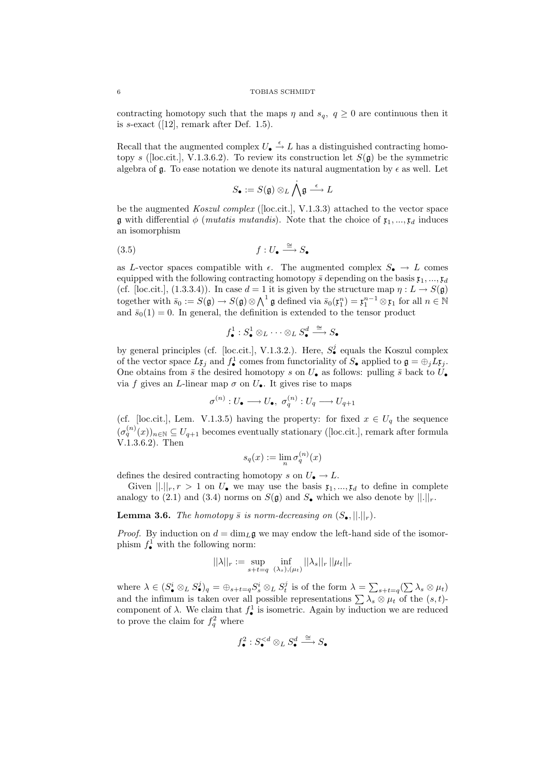### 6 TOBIAS SCHMIDT

contracting homotopy such that the maps  $\eta$  and  $s_q$ ,  $q \geq 0$  are continuous then it is s-exact  $([12],$  remark after Def. 1.5).

Recall that the augmented complex  $U_{\bullet} \stackrel{\epsilon}{\rightarrow} L$  has a distinguished contracting homotopy s ([loc.cit.], V.1.3.6.2). To review its construction let  $S(\mathfrak{q})$  be the symmetric algebra of  $\mathfrak g$ . To ease notation we denote its natural augmentation by  $\epsilon$  as well. Let

$$
S_\bullet:=S(\mathfrak{g})\otimes_L\bigwedge^\bullet\mathfrak{g}\stackrel{\epsilon}{\longrightarrow}L
$$

be the augmented Koszul complex ([loc.cit.], V.1.3.3) attached to the vector space g with differential  $\phi$  (*mutatis mutandis*). Note that the choice of  $\mathfrak{x}_1, ..., \mathfrak{x}_d$  induces an isomorphism

$$
(3.5) \t\t f: U_{\bullet} \xrightarrow{\cong} S_{\bullet}
$$

as L-vector spaces compatible with  $\epsilon$ . The augmented complex  $S_{\bullet} \to L$  comes equipped with the following contracting homotopy  $\bar{s}$  depending on the basis  $\mathfrak{x}_1, ..., \mathfrak{x}_d$ (cf. [loc.cit.], (1.3.3.4)). In case  $d = 1$  it is given by the structure map  $\eta : L \to S(\mathfrak{g})$ together with  $\bar{s}_0 := S(\mathfrak{g}) \to S(\mathfrak{g}) \otimes \bigwedge^1 \mathfrak{g}$  defined via  $\bar{s}_0(\mathfrak{x}_1^n) = \mathfrak{x}_1^{n-1} \otimes \mathfrak{x}_1$  for all  $n \in \mathbb{N}$ and  $\bar{s}_0(1) = 0$ . In general, the definition is extended to the tensor product

$$
f_{\bullet}^{1}: S_{\bullet}^{1} \otimes_{L} \cdots \otimes_{L} S_{\bullet}^{d} \stackrel{\cong}{\longrightarrow} S_{\bullet}
$$

by general principles (cf. [loc.cit.], V.1.3.2.). Here,  $S^j_{\bullet}$  equals the Koszul complex of the vector space  $L\mathfrak{x}_j$  and  $f^1_{\bullet}$  comes from functoriality of  $S_{\bullet}$  applied to  $\mathfrak{g} = \bigoplus_j L\mathfrak{x}_j$ . One obtains from  $\bar{s}$  the desired homotopy s on  $U_{\bullet}$  as follows: pulling  $\bar{s}$  back to  $U_{\bullet}$ via f gives an L-linear map  $\sigma$  on  $U_{\bullet}$ . It gives rise to maps

$$
\sigma^{(n)}:U_\bullet\longrightarrow U_\bullet,\,\,\sigma^{(n)}_q:U_q\longrightarrow U_{q+1}
$$

(cf. [loc.cit.], Lem. V.1.3.5) having the property: for fixed  $x \in U_q$  the sequence  $(\sigma_q^{(n)}(x))_{n\in\mathbb{N}}\subseteq U_{q+1}$  becomes eventually stationary ([loc.cit.], remark after formula V.1.3.6.2). Then

$$
s_q(x) := \lim_n \sigma_q^{(n)}(x)
$$

defines the desired contracting homotopy s on  $U_{\bullet} \to L$ .

Given  $\lVert . \rVert_r$ ,  $r > 1$  on  $U_{\bullet}$  we may use the basis  $\mathfrak{x}_1, ..., \mathfrak{x}_d$  to define in complete analogy to (2.1) and (3.4) norms on  $S(\mathfrak{g})$  and  $S_{\bullet}$  which we also denote by  $||.||_r$ .

## **Lemma 3.6.** The homotopy  $\bar{s}$  is norm-decreasing on  $(S_{\bullet}, ||.||_{r})$ .

*Proof.* By induction on  $d = \dim_L \mathfrak{g}$  we may endow the left-hand side of the isomorphism  $f_{\bullet}^1$  with the following norm:

$$
||\lambda||_r := \sup_{s+t=q} \inf_{(\lambda_s),(\mu_t)} ||\lambda_s||_r ||\mu_t||_r
$$

where  $\lambda \in (S^i_{\bullet} \otimes_L S^j_{\bullet})_q = \bigoplus_{s+t=q} S^i_s \otimes_L S^j_t$  is of the form  $\lambda = \sum_{s+t=q} (\sum \lambda_s \otimes \mu_t)$ and the infimum is taken over all possible representations  $\sum_{s} \lambda_s \otimes \mu_t$  of the  $(s, t)$ component of  $\lambda$ . We claim that  $f_{\bullet}^1$  is isometric. Again by induction we are reduced to prove the claim for  $f_q^2$  where

$$
f_\bullet^2: S_\bullet^{
$$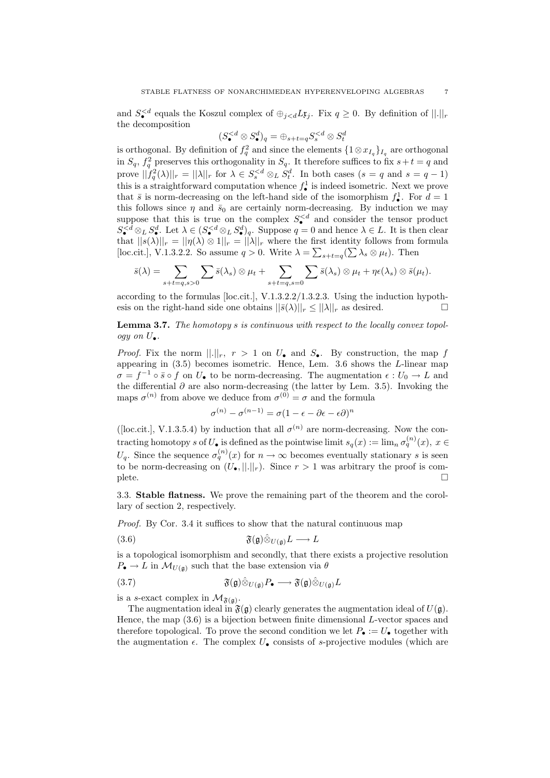and  $S_{\bullet}^{< d}$  equals the Koszul complex of  $\bigoplus_{j. Fix  $q\geq 0$ . By definition of  $||.||_r$$ the decomposition

$$
(S^{
$$

is orthogonal. By definition of  $f_q^2$  and since the elements  $\{1 \otimes x_{I_q}\}_{I_q}$  are orthogonal in  $S_q$ ,  $f_q^2$  preserves this orthogonality in  $S_q$ . It therefore suffices to fix  $s+t=q$  and prove  $||f_q^2(\lambda)||_r = ||\lambda||_r$  for  $\lambda \in S_s^{< d} \otimes_L S_t^d$ . In both cases  $(s = q \text{ and } s = q - 1)$ this is a straightforward computation whence  $f_{\bullet}^1$  is indeed isometric. Next we prove that  $\bar{s}$  is norm-decreasing on the left-hand side of the isomorphism  $f^1_{\bullet}$ . For  $d=1$ this follows since  $\eta$  and  $\bar{s}_0$  are certainly norm-decreasing. By induction we may suppose that this is true on the complex  $S_{\bullet}^{\langle d \rangle}$  and consider the tensor product  $S_{\bullet}^{< d} \otimes_L S_{\bullet}^d$ . Let  $\lambda \in (S_{\bullet}^{< d} \otimes_L S_{\bullet}^d)_q$ . Suppose  $q = 0$  and hence  $\lambda \in L$ . It is then clear that  $||s(\lambda)||_r = ||\eta(\lambda) \otimes 1||_r = ||\lambda||_r$  where the first identity follows from formula [loc.cit.], V.1.3.2.2. So assume  $q > 0$ . Write  $\lambda = \sum_{s+t=q} (\sum_{s} \lambda_s \otimes \mu_t)$ . Then

$$
\bar{s}(\lambda) = \sum_{s+t=q, s>0} \sum \bar{s}(\lambda_s) \otimes \mu_t + \sum_{s+t=q, s=0} \sum \bar{s}(\lambda_s) \otimes \mu_t + \eta \epsilon(\lambda_s) \otimes \bar{s}(\mu_t).
$$

according to the formulas [loc.cit.], V.1.3.2.2/1.3.2.3. Using the induction hypothesis on the right-hand side one obtains  $||\bar{s}(\lambda)||_r \leq ||\lambda||_r$  as desired.

# Lemma 3.7. The homotopy s is continuous with respect to the locally convex topology on  $U_{\bullet}$ .

*Proof.* Fix the norm  $\lVert \cdot \rVert_r$ ,  $r > 1$  on  $U_{\bullet}$  and  $S_{\bullet}$ . By construction, the map f appearing in  $(3.5)$  becomes isometric. Hence, Lem.  $3.6$  shows the *L*-linear map  $\sigma = f^{-1} \circ \bar{s} \circ f$  on  $U_{\bullet}$  to be norm-decreasing. The augmentation  $\epsilon : U_0 \to L$  and the differential  $\partial$  are also norm-decreasing (the latter by Lem. 3.5). Invoking the maps  $\sigma^{(n)}$  from above we deduce from  $\sigma^{(0)} = \sigma$  and the formula

$$
\sigma^{(n)}-\sigma^{(n-1)}=\sigma(1-\epsilon-\partial\epsilon-\epsilon\partial)^n
$$

([loc.cit.], V.1.3.5.4) by induction that all  $\sigma^{(n)}$  are norm-decreasing. Now the contracting homotopy s of  $U_{\bullet}$  is defined as the pointwise limit  $s_q(x) := \lim_{n} \sigma_q^{(n)}(x)$ ,  $x \in$  $U_q$ . Since the sequence  $\sigma_q^{(n)}(x)$  for  $n \to \infty$  becomes eventually stationary s is seen to be norm-decreasing on  $(U_{\bullet},\|.\|_{r})$ . Since  $r > 1$  was arbitrary the proof is com- $\Box$ 

3.3. Stable flatness. We prove the remaining part of the theorem and the corollary of section 2, respectively.

Proof. By Cor. 3.4 it suffices to show that the natural continuous map

$$
(3.6) \t\t\t\t\mathfrak{F}(\mathfrak{g}) \hat{\otimes}_{U(\mathfrak{g})} L \longrightarrow L
$$

is a topological isomorphism and secondly, that there exists a projective resolution  $P_{\bullet} \to L$  in  $\mathcal{M}_{U(\mathfrak{g})}$  such that the base extension via  $\theta$ 

(3.7) 
$$
\mathfrak{F}(\mathfrak{g})\hat{\otimes}_{U(\mathfrak{g})}P_{\bullet}\longrightarrow \mathfrak{F}(\mathfrak{g})\hat{\otimes}_{U(\mathfrak{g})}L
$$

is a s-exact complex in  $\mathcal{M}_{\mathfrak{F}(\mathfrak{g})}$ .

The augmentation ideal in  $\mathfrak{F}(\mathfrak{g})$  clearly generates the augmentation ideal of  $U(\mathfrak{g})$ . Hence, the map  $(3.6)$  is a bijection between finite dimensional L-vector spaces and therefore topological. To prove the second condition we let  $P_{\bullet} := U_{\bullet}$  together with the augmentation  $\epsilon$ . The complex  $U_{\bullet}$  consists of s-projective modules (which are